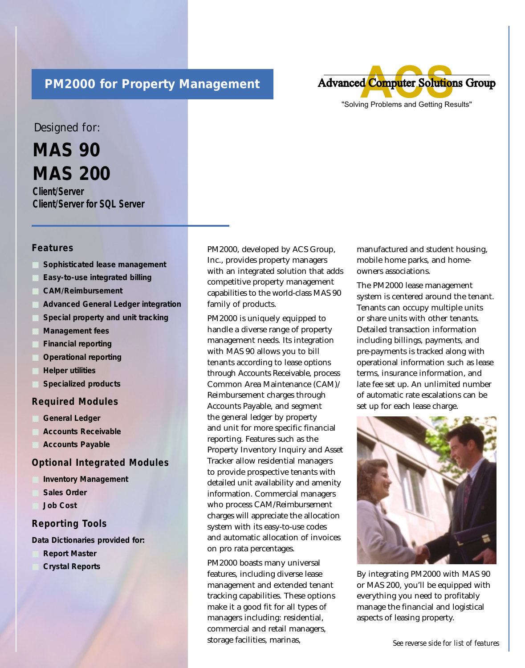# **PM2000 for Property Management**



## Designed for:

**MAS 90 MAS 200**

**Client/Server Client/Server for SQL Server**

### **Features**

- **Sophisticated lease management**
- **Easy-to-use integrated billing**
- **CAM/Reimbursement**
- **Advanced General Ledger integration**
- **Special property and unit tracking**
- **Management fees**
- **Financial reporting**
- **Operational reporting**
- **Helper utilities**
- **Specialized products**

#### **Required Modules**

- General Ledger
- **Accounts Receivable**
- **Accounts Payable**

#### **Optional Integrated Modules**

- **Inventory Management**
- **Sales Order**
- **Job Cost**

#### **Reporting Tools**

**Data Dictionaries provided for:** 

- **Report Master**
- **Crystal Reports**

PM2000, developed by ACS Group, Inc., provides property managers with an integrated solution that adds competitive property management capabilities to the world-class MAS 90 family of products.

PM2000 is uniquely equipped to handle a diverse range of property management needs. Its integration with MAS 90 allows you to bill tenants according to lease options through Accounts Receivable, process Common Area Maintenance (CAM)/ Reimbursement charges through Accounts Payable, and segment the general ledger by property and unit for more specific financial reporting. Features such as the Property Inventory Inquiry and Asset Tracker allow residential managers to provide prospective tenants with detailed unit availability and amenity information. Commercial managers who process CAM/Reimbursement charges will appreciate the allocation system with its easy-to-use codes and automatic allocation of invoices on pro rata percentages.

PM2000 boasts many universal features, including diverse lease management and extended tenant tracking capabilities. These options make it a good fit for all types of managers including: residential, commercial and retail managers, storage facilities, marinas,

manufactured and student housing, mobile home parks, and homeowners associations.

The PM2000 lease management system is centered around the tenant. Tenants can occupy multiple units or share units with other tenants. Detailed transaction information including billings, payments, and pre-payments is tracked along with operational information such as lease terms, insurance information, and late fee set up. An unlimited number of automatic rate escalations can be set up for each lease charge.



By integrating PM2000 with MAS 90 or MAS 200, you'll be equipped with everything you need to profitably manage the financial and logistical aspects of leasing property.